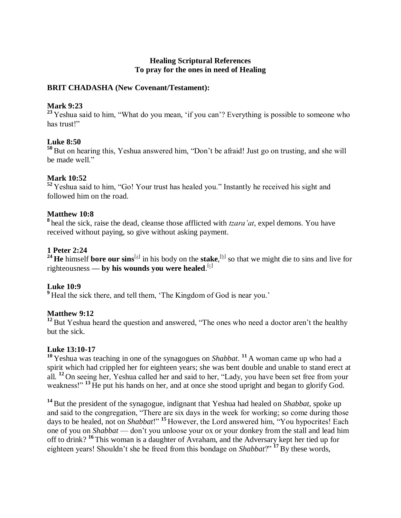# **Healing Scriptural References To pray for the ones in need of Healing**

#### **BRIT CHADASHA (New Covenant/Testament):**

#### **Mark 9:23**

<sup>23</sup> Yeshua said to him, "What do you mean, 'if you can'? Everything is possible to someone who has trust!"

# **Luke 8:50**

**<sup>50</sup>** But on hearing this, Yeshua answered him, "Don't be afraid! Just go on trusting, and she will be made well."

# **Mark 10:52**

**<sup>52</sup>** Yeshua said to him, "Go! Your trust has healed you." Instantly he received his sight and followed him on the road.

# **Matthew 10:8**

**8** heal the sick, raise the dead, cleanse those afflicted with *tzara'at*, expel demons. You have received without paying, so give without asking payment.

# **1 Peter 2:24**

<sup>24</sup> **He** himself **bore our sins**<sup>[\[a\]](https://www.biblegateway.com/passage/?search=1Peter+2%3A24&version=CJB#fen-CJB-30437a)</sup> in his body on the **stake**,<sup>[\[b\]](https://www.biblegateway.com/passage/?search=1Peter+2%3A24&version=CJB#fen-CJB-30437b)</sup> so that we might die to sins and live for righteousness **— by his wounds you were healed**.<sup>[\[c\]](https://www.biblegateway.com/passage/?search=1Peter+2%3A24&version=CJB#fen-CJB-30437c)</sup>

# **Luke 10:9**

**<sup>9</sup>** Heal the sick there, and tell them, 'The Kingdom of God is near you.'

# **Matthew 9:12**

<sup>12</sup> But Yeshua heard the question and answered, "The ones who need a doctor aren't the healthy but the sick.

# **Luke 13:10-17**

**<sup>10</sup>** Yeshua was teaching in one of the synagogues on *Shabbat*. **<sup>11</sup>** A woman came up who had a spirit which had crippled her for eighteen years; she was bent double and unable to stand erect at all. **<sup>12</sup>** On seeing her, Yeshua called her and said to her, "Lady, you have been set free from your weakness!" <sup>13</sup> He put his hands on her, and at once she stood upright and began to glorify God.

**<sup>14</sup>** But the president of the synagogue, indignant that Yeshua had healed on *Shabbat*, spoke up and said to the congregation, "There are six days in the week for working; so come during those days to be healed, not on *Shabbat*!" **<sup>15</sup>** However, the Lord answered him, "You hypocrites! Each one of you on *Shabbat* — don't you unloose your ox or your donkey from the stall and lead him off to drink? **<sup>16</sup>** This woman is a daughter of Avraham, and the Adversary kept her tied up for eighteen years! Shouldn't she be freed from this bondage on *Shabbat*?" **<sup>17</sup>** By these words,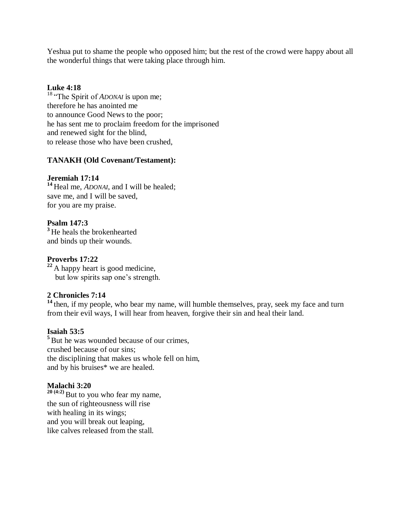Yeshua put to shame the people who opposed him; but the rest of the crowd were happy about all the wonderful things that were taking place through him.

#### **Luke 4:18**

<sup>18</sup> "The Spirit of *ADONAI* is upon me; therefore he has anointed me to announce Good News to the poor; he has sent me to proclaim freedom for the imprisoned and renewed sight for the blind, to release those who have been crushed,

#### **TANAKH (Old Covenant/Testament):**

#### **Jeremiah 17:14**

**<sup>14</sup>** Heal me, *ADONAI*, and I will be healed; save me, and I will be saved, for you are my praise.

# **Psalm 147:3**

**<sup>3</sup>** He heals the brokenhearted and binds up their wounds.

#### **Proverbs 17:22**

**<sup>22</sup>** A happy heart is good medicine, but low spirits sap one's strength.

# **2 Chronicles 7:14**

<sup>14</sup> then, if my people, who bear my name, will humble themselves, pray, seek my face and turn from their evil ways, I will hear from heaven, forgive their sin and heal their land.

#### **Isaiah 53:5**

**<sup>5</sup>** But he was wounded because of our crimes, crushed because of our sins; the disciplining that makes us whole fell on him, and by his bruises\* we are healed.

# **Malachi 3:20**

**<sup>20</sup> (4:2)**But to you who fear my name, the sun of righteousness will rise with healing in its wings; and you will break out leaping, like calves released from the stall.